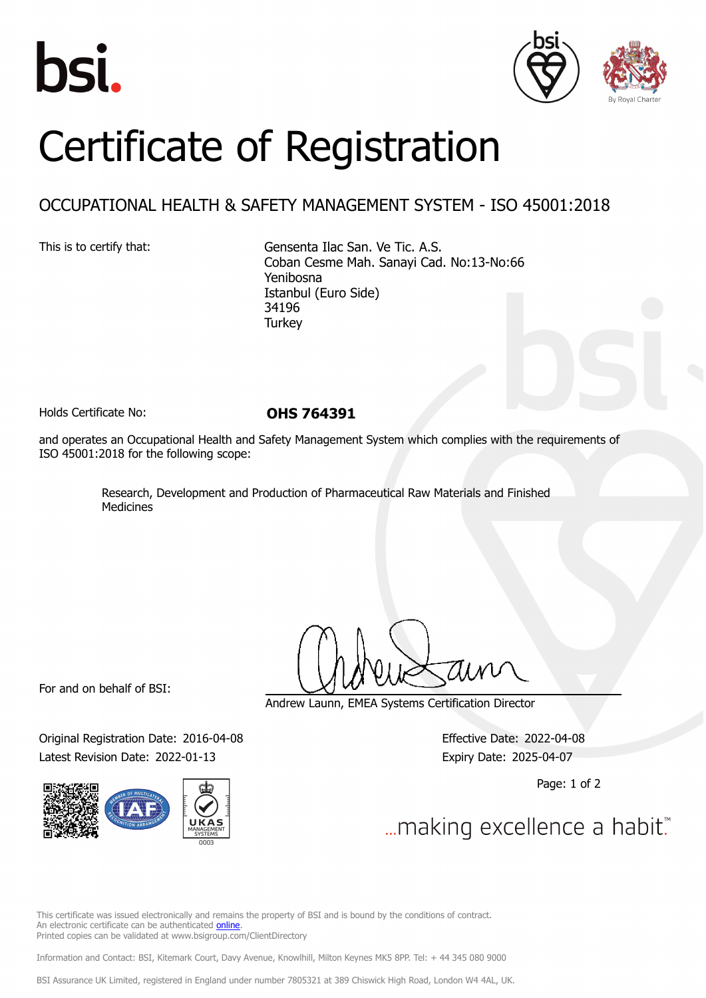





# Certificate of Registration

## OCCUPATIONAL HEALTH & SAFETY MANAGEMENT SYSTEM - ISO 45001:2018

This is to certify that: Gensenta Ilac San. Ve Tic. A.S. Coban Cesme Mah. Sanayi Cad. No:13-No:66 Yenibosna Istanbul (Euro Side) 34196 **Turkey** 

Holds Certificate No: **OHS 764391**

and operates an Occupational Health and Safety Management System which complies with the requirements of ISO 45001:2018 for the following scope:

> Research, Development and Production of Pharmaceutical Raw Materials and Finished Medicines

For and on behalf of BSI:

Original Registration Date: 2016-04-08 Effective Date: 2022-04-08 Latest Revision Date: 2022-01-13 Expiry Date: 2025-04-07



Andrew Launn, EMEA Systems Certification Director

Page: 1 of 2

... making excellence a habit."

This certificate was issued electronically and remains the property of BSI and is bound by the conditions of contract. An electronic certificate can be authenticated [online](https://pgplus.bsigroup.com/CertificateValidation/CertificateValidator.aspx?CertificateNumber=OHS+764391&ReIssueDate=13%2f01%2f2022&Template=cemea_en) Printed copies can be validated at www.bsigroup.com/ClientDirectory

Information and Contact: BSI, Kitemark Court, Davy Avenue, Knowlhill, Milton Keynes MK5 8PP. Tel: + 44 345 080 9000

BSI Assurance UK Limited, registered in England under number 7805321 at 389 Chiswick High Road, London W4 4AL, UK.